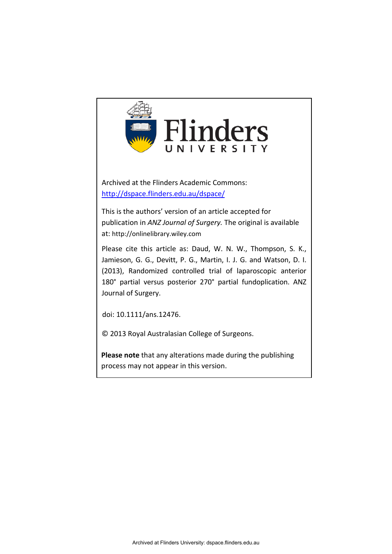

**Please note** that any alterations made during the publishing process may not appear in this version.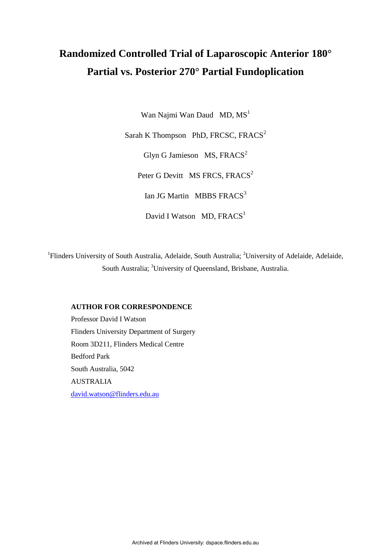# **Randomized Controlled Trial of Laparoscopic Anterior 180° Partial vs. Posterior 270° Partial Fundoplication**

Wan Najmi Wan Daud MD,  $MS<sup>1</sup>$ 

Sarah K Thompson PhD, FRCSC, FRACS<sup>2</sup> Glyn G Jamieson  $MS, FRACS<sup>2</sup>$ 

Peter G Devitt MS FRCS, FRACS<sup>2</sup>

Ian JG Martin MBBS FRACS<sup>3</sup>

David I Watson MD,  $FRACS<sup>1</sup>$ 

<sup>1</sup>Flinders University of South Australia, Adelaide, South Australia; <sup>2</sup>University of Adelaide, Adelaide, South Australia; <sup>3</sup>University of Queensland, Brisbane, Australia.

#### **AUTHOR FOR CORRESPONDENCE**

Professor David I Watson Flinders University Department of Surgery Room 3D211, Flinders Medical Centre Bedford Park South Australia, 5042 AUSTRALIA [david.watson@flinders.edu.au](mailto:david.watson@flinders.edu.au)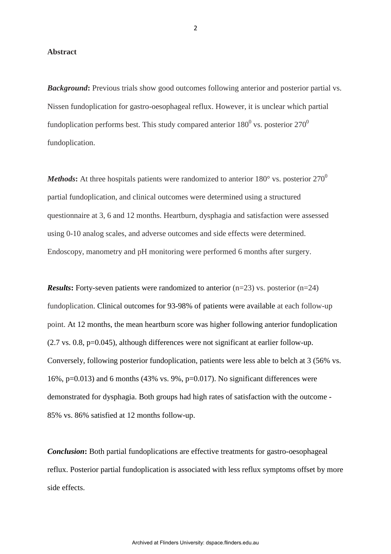#### **Abstract**

**Background:** Previous trials show good outcomes following anterior and posterior partial vs. Nissen fundoplication for gastro-oesophageal reflux. However, it is unclear which partial fundoplication performs best. This study compared anterior  $180^0$  vs. posterior  $270^0$ fundoplication.

*Methods*: At three hospitals patients were randomized to anterior 180 $^{\circ}$  vs. posterior 270<sup>0</sup> partial fundoplication, and clinical outcomes were determined using a structured questionnaire at 3, 6 and 12 months. Heartburn, dysphagia and satisfaction were assessed using 0-10 analog scales, and adverse outcomes and side effects were determined. Endoscopy, manometry and pH monitoring were performed 6 months after surgery.

*Results***:** Forty-seven patients were randomized to anterior (n=23) vs. posterior (n=24) fundoplication. Clinical outcomes for 93-98% of patients were available at each follow-up point. At 12 months, the mean heartburn score was higher following anterior fundoplication (2.7 vs. 0.8, p=0.045), although differences were not significant at earlier follow-up. Conversely, following posterior fundoplication, patients were less able to belch at 3 (56% vs. 16%,  $p=0.013$ ) and 6 months (43% vs. 9%,  $p=0.017$ ). No significant differences were demonstrated for dysphagia. Both groups had high rates of satisfaction with the outcome - 85% vs. 86% satisfied at 12 months follow-up.

*Conclusion***:** Both partial fundoplications are effective treatments for gastro-oesophageal reflux. Posterior partial fundoplication is associated with less reflux symptoms offset by more side effects.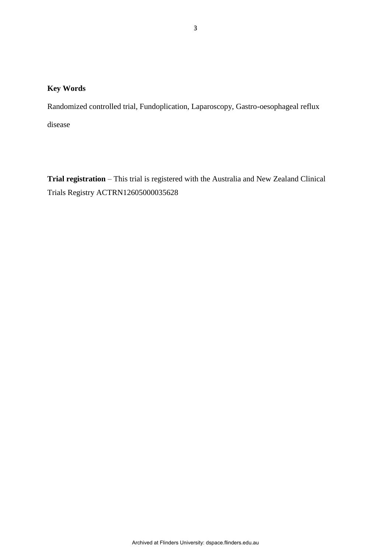# **Key Words**

Randomized controlled trial, Fundoplication, Laparoscopy, Gastro-oesophageal reflux

disease

**Trial registration** – This trial is registered with the Australia and New Zealand Clinical Trials Registry ACTRN12605000035628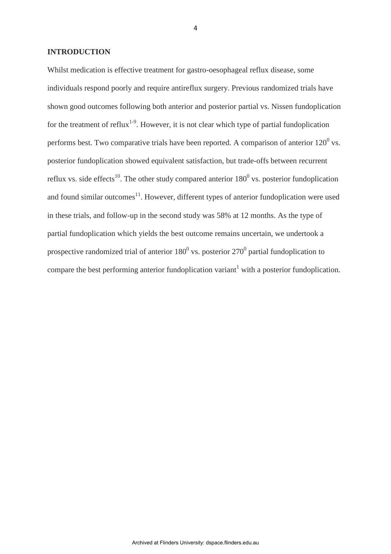#### **INTRODUCTION**

Whilst medication is effective treatment for gastro-oesophageal reflux disease, some individuals respond poorly and require antireflux surgery. Previous randomized trials have shown good outcomes following both anterior and posterior partial vs. Nissen fundoplication for the treatment of reflux<sup>1-9</sup>. However, it is not clear which type of partial fundoplication performs best. Two comparative trials have been reported. A comparison of anterior  $120^0$  vs. posterior fundoplication showed equivalent satisfaction, but trade-offs between recurrent reflux vs. side effects<sup>10</sup>. The other study compared anterior  $180^0$  vs. posterior fundoplication and found similar outcomes $<sup>11</sup>$ . However, different types of anterior fundoplication were used</sup> in these trials, and follow-up in the second study was 58% at 12 months. As the type of partial fundoplication which yields the best outcome remains uncertain, we undertook a prospective randomized trial of anterior  $180^0$  vs. posterior  $270^0$  partial fundoplication to compare the best performing anterior fundoplication variant<sup>1</sup> with a posterior fundoplication.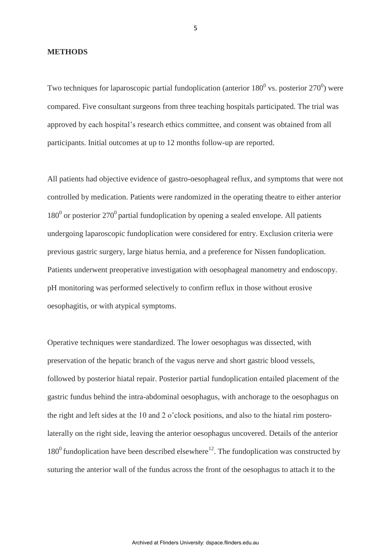#### **METHODS**

Two techniques for laparoscopic partial fundoplication (anterior  $180^0$  vs. posterior  $270^0$ ) were compared. Five consultant surgeons from three teaching hospitals participated. The trial was approved by each hospital's research ethics committee, and consent was obtained from all participants. Initial outcomes at up to 12 months follow-up are reported.

All patients had objective evidence of gastro-oesophageal reflux, and symptoms that were not controlled by medication. Patients were randomized in the operating theatre to either anterior  $180<sup>0</sup>$  or posterior 270<sup>0</sup> partial fundoplication by opening a sealed envelope. All patients undergoing laparoscopic fundoplication were considered for entry. Exclusion criteria were previous gastric surgery, large hiatus hernia, and a preference for Nissen fundoplication. Patients underwent preoperative investigation with oesophageal manometry and endoscopy. pH monitoring was performed selectively to confirm reflux in those without erosive oesophagitis, or with atypical symptoms.

Operative techniques were standardized. The lower oesophagus was dissected, with preservation of the hepatic branch of the vagus nerve and short gastric blood vessels, followed by posterior hiatal repair. Posterior partial fundoplication entailed placement of the gastric fundus behind the intra-abdominal oesophagus, with anchorage to the oesophagus on the right and left sides at the 10 and 2 o'clock positions, and also to the hiatal rim posterolaterally on the right side, leaving the anterior oesophagus uncovered. Details of the anterior  $180<sup>0</sup>$  fundoplication have been described elsewhere<sup>12</sup>. The fundoplication was constructed by suturing the anterior wall of the fundus across the front of the oesophagus to attach it to the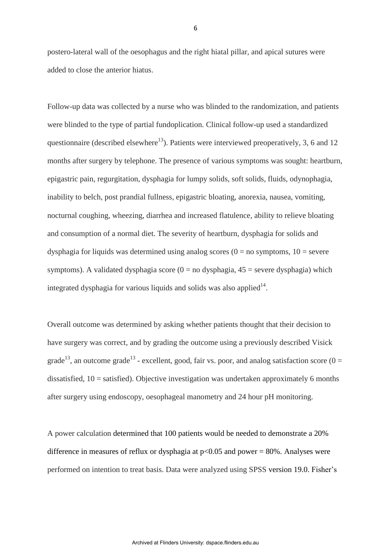postero-lateral wall of the oesophagus and the right hiatal pillar, and apical sutures were added to close the anterior hiatus.

Follow-up data was collected by a nurse who was blinded to the randomization, and patients were blinded to the type of partial fundoplication. Clinical follow-up used a standardized questionnaire (described elsewhere<sup>13</sup>). Patients were interviewed preoperatively, 3, 6 and 12 months after surgery by telephone. The presence of various symptoms was sought: heartburn, epigastric pain, regurgitation, dysphagia for lumpy solids, soft solids, fluids, odynophagia, inability to belch, post prandial fullness, epigastric bloating, anorexia, nausea, vomiting, nocturnal coughing, wheezing, diarrhea and increased flatulence, ability to relieve bloating and consumption of a normal diet. The severity of heartburn, dysphagia for solids and dysphagia for liquids was determined using analog scores  $(0 = no$  symptoms,  $10 =$  severe symptoms). A validated dysphagia score ( $0 =$  no dysphagia,  $45 =$  severe dysphagia) which integrated dysphagia for various liquids and solids was also applied $14$ .

Overall outcome was determined by asking whether patients thought that their decision to have surgery was correct, and by grading the outcome using a previously described Visick grade<sup>13</sup>, an outcome grade<sup>13</sup> - excellent, good, fair vs. poor, and analog satisfaction score (0 = dissatisfied,  $10 =$  satisfied). Objective investigation was undertaken approximately 6 months after surgery using endoscopy, oesophageal manometry and 24 hour pH monitoring.

A power calculation determined that 100 patients would be needed to demonstrate a 20% difference in measures of reflux or dysphagia at  $p<0.05$  and power = 80%. Analyses were performed on intention to treat basis. Data were analyzed using SPSS version 19.0. Fisher's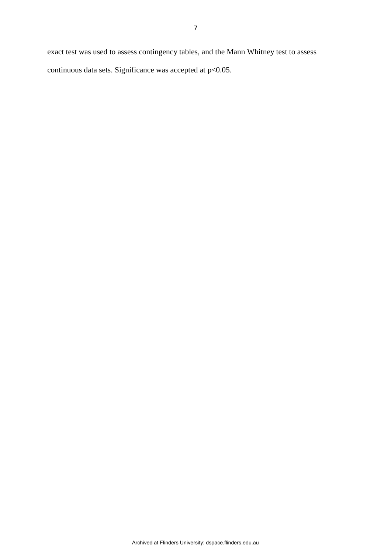exact test was used to assess contingency tables, and the Mann Whitney test to assess continuous data sets. Significance was accepted at  $p<0.05$ .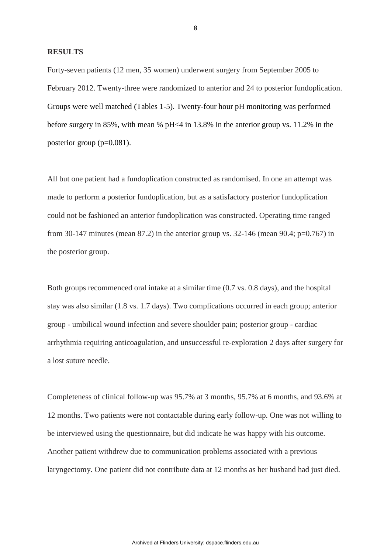#### **RESULTS**

Forty-seven patients (12 men, 35 women) underwent surgery from September 2005 to February 2012. Twenty-three were randomized to anterior and 24 to posterior fundoplication. Groups were well matched (Tables 1-5). Twenty-four hour pH monitoring was performed before surgery in 85%, with mean % pH<4 in 13.8% in the anterior group vs. 11.2% in the posterior group (p=0.081).

All but one patient had a fundoplication constructed as randomised. In one an attempt was made to perform a posterior fundoplication, but as a satisfactory posterior fundoplication could not be fashioned an anterior fundoplication was constructed. Operating time ranged from 30-147 minutes (mean 87.2) in the anterior group vs. 32-146 (mean 90.4; p=0.767) in the posterior group.

Both groups recommenced oral intake at a similar time (0.7 vs. 0.8 days), and the hospital stay was also similar (1.8 vs. 1.7 days). Two complications occurred in each group; anterior group - umbilical wound infection and severe shoulder pain; posterior group - cardiac arrhythmia requiring anticoagulation, and unsuccessful re-exploration 2 days after surgery for a lost suture needle.

Completeness of clinical follow-up was 95.7% at 3 months, 95.7% at 6 months, and 93.6% at 12 months. Two patients were not contactable during early follow-up. One was not willing to be interviewed using the questionnaire, but did indicate he was happy with his outcome. Another patient withdrew due to communication problems associated with a previous laryngectomy. One patient did not contribute data at 12 months as her husband had just died.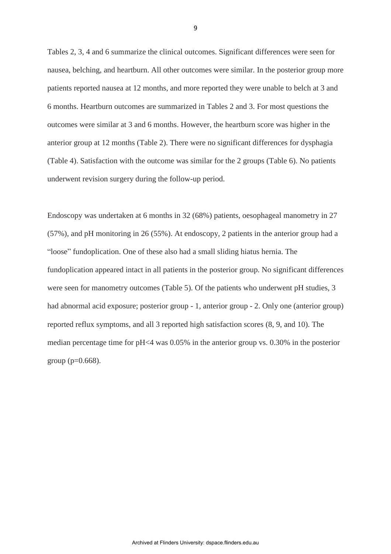Tables 2, 3, 4 and 6 summarize the clinical outcomes. Significant differences were seen for nausea, belching, and heartburn. All other outcomes were similar. In the posterior group more patients reported nausea at 12 months, and more reported they were unable to belch at 3 and 6 months. Heartburn outcomes are summarized in Tables 2 and 3. For most questions the outcomes were similar at 3 and 6 months. However, the heartburn score was higher in the anterior group at 12 months (Table 2). There were no significant differences for dysphagia (Table 4). Satisfaction with the outcome was similar for the 2 groups (Table 6). No patients underwent revision surgery during the follow-up period.

Endoscopy was undertaken at 6 months in 32 (68%) patients, oesophageal manometry in 27 (57%), and pH monitoring in 26 (55%). At endoscopy, 2 patients in the anterior group had a "loose" fundoplication. One of these also had a small sliding hiatus hernia. The fundoplication appeared intact in all patients in the posterior group. No significant differences were seen for manometry outcomes (Table 5). Of the patients who underwent pH studies, 3 had abnormal acid exposure; posterior group - 1, anterior group - 2. Only one (anterior group) reported reflux symptoms, and all 3 reported high satisfaction scores (8, 9, and 10). The median percentage time for pH<4 was 0.05% in the anterior group vs. 0.30% in the posterior group ( $p=0.668$ ).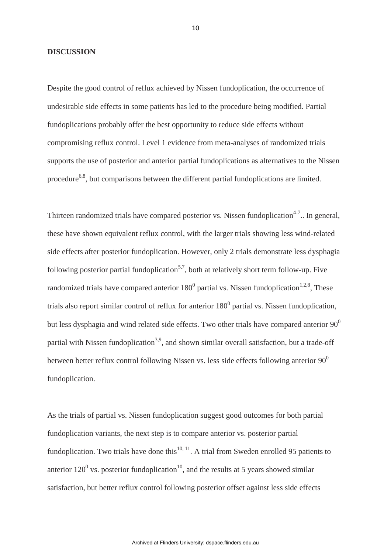#### **DISCUSSION**

Despite the good control of reflux achieved by Nissen fundoplication, the occurrence of undesirable side effects in some patients has led to the procedure being modified. Partial fundoplications probably offer the best opportunity to reduce side effects without compromising reflux control. Level 1 evidence from meta-analyses of randomized trials supports the use of posterior and anterior partial fundoplications as alternatives to the Nissen procedure<sup>6,8</sup>, but comparisons between the different partial fundoplications are limited.

Thirteen randomized trials have compared posterior vs. Nissen fundoplication<sup>4-7</sup>.. In general, these have shown equivalent reflux control, with the larger trials showing less wind-related side effects after posterior fundoplication. However, only 2 trials demonstrate less dysphagia following posterior partial fundoplication<sup>5,7</sup>, both at relatively short term follow-up. Five randomized trials have compared anterior  $180^0$  partial vs. Nissen fundoplication<sup>1,2,8</sup>, These trials also report similar control of reflux for anterior  $180^0$  partial vs. Nissen fundoplication, but less dysphagia and wind related side effects. Two other trials have compared anterior  $90^0$ partial with Nissen fundoplication<sup>3,9</sup>, and shown similar overall satisfaction, but a trade-off between better reflux control following Nissen vs. less side effects following anterior  $90^0$ fundoplication.

As the trials of partial vs. Nissen fundoplication suggest good outcomes for both partial fundoplication variants, the next step is to compare anterior vs. posterior partial fundoplication. Two trials have done this<sup>10, 11</sup>. A trial from Sweden enrolled 95 patients to anterior  $120^{\circ}$  vs. posterior fundoplication<sup>10</sup>, and the results at 5 years showed similar satisfaction, but better reflux control following posterior offset against less side effects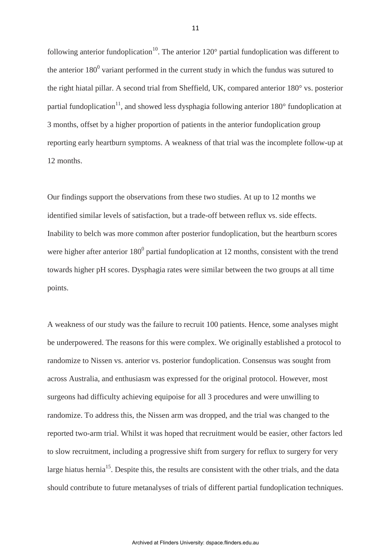following anterior fundoplication<sup>10</sup>. The anterior  $120^{\circ}$  partial fundoplication was different to the anterior  $180^0$  variant performed in the current study in which the fundus was sutured to the right hiatal pillar. A second trial from Sheffield, UK, compared anterior 180° vs. posterior partial fundoplication<sup>11</sup>, and showed less dysphagia following anterior  $180^{\circ}$  fundoplication at 3 months, offset by a higher proportion of patients in the anterior fundoplication group reporting early heartburn symptoms. A weakness of that trial was the incomplete follow-up at 12 months.

Our findings support the observations from these two studies. At up to 12 months we identified similar levels of satisfaction, but a trade-off between reflux vs. side effects. Inability to belch was more common after posterior fundoplication, but the heartburn scores were higher after anterior  $180^0$  partial fundoplication at 12 months, consistent with the trend towards higher pH scores. Dysphagia rates were similar between the two groups at all time points.

A weakness of our study was the failure to recruit 100 patients. Hence, some analyses might be underpowered. The reasons for this were complex. We originally established a protocol to randomize to Nissen vs. anterior vs. posterior fundoplication. Consensus was sought from across Australia, and enthusiasm was expressed for the original protocol. However, most surgeons had difficulty achieving equipoise for all 3 procedures and were unwilling to randomize. To address this, the Nissen arm was dropped, and the trial was changed to the reported two-arm trial. Whilst it was hoped that recruitment would be easier, other factors led to slow recruitment, including a progressive shift from surgery for reflux to surgery for very large hiatus hernia<sup>15</sup>. Despite this, the results are consistent with the other trials, and the data should contribute to future metanalyses of trials of different partial fundoplication techniques.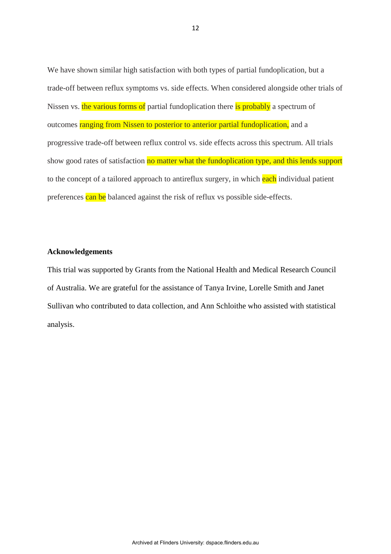We have shown similar high satisfaction with both types of partial fundoplication, but a trade-off between reflux symptoms vs. side effects. When considered alongside other trials of Nissen vs. the various forms of partial fundoplication there is probably a spectrum of outcomes ranging from Nissen to posterior to anterior partial fundoplication, and a progressive trade-off between reflux control vs. side effects across this spectrum. All trials show good rates of satisfaction no matter what the fundoplication type, and this lends support to the concept of a tailored approach to antireflux surgery, in which each individual patient preferences can be balanced against the risk of reflux vs possible side-effects.

#### **Acknowledgements**

This trial was supported by Grants from the National Health and Medical Research Council of Australia. We are grateful for the assistance of Tanya Irvine, Lorelle Smith and Janet Sullivan who contributed to data collection, and Ann Schloithe who assisted with statistical analysis.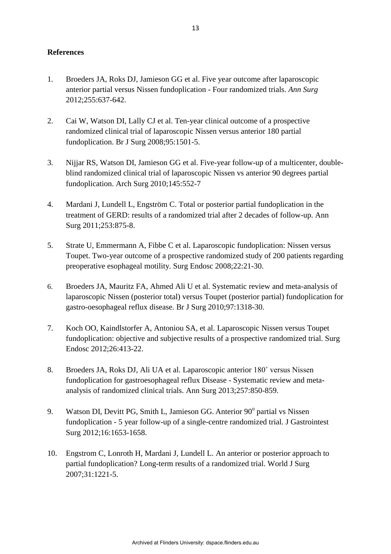## **References**

- 1. Broeders JA, Roks DJ, Jamieson GG et al. Five year outcome after laparoscopic anterior partial versus Nissen fundoplication - Four randomized trials. *Ann Surg* 2012;255:637-642.
- 2. Cai W, Watson DI, Lally CJ et al. Ten-year clinical outcome of a prospective randomized clinical trial of laparoscopic Nissen versus anterior 180 partial fundoplication. Br J Surg 2008;95:1501-5.
- 3. Nijjar RS, Watson DI, Jamieson GG et al. Five-year follow-up of a multicenter, doubleblind randomized clinical trial of laparoscopic Nissen vs anterior 90 degrees partial fundoplication. Arch Surg 2010;145:552-7
- 4. Mardani J, Lundell L, Engström C. [Total or posterior partial fundoplication in the](http://www.ncbi.nlm.nih.gov/pubmed/21451393)  [treatment of GERD: results of a randomized trial after 2 decades of follow-up.](http://www.ncbi.nlm.nih.gov/pubmed/21451393) Ann Surg 2011;253:875-8.
- 5. Strate U, Emmermann A, Fibbe C et al. Laparoscopic fundoplication: Nissen versus Toupet. Two-year outcome of a prospective randomized study of 200 patients regarding preoperative esophageal motility. Surg Endosc 2008;22:21-30.
- 6. [Broeders JA,](http://www.ncbi.nlm.nih.gov/pubmed?term=Broeders%20JA%5BAuthor%5D&cauthor=true&cauthor_uid=20641062) [Mauritz FA,](http://www.ncbi.nlm.nih.gov/pubmed?term=Mauritz%20FA%5BAuthor%5D&cauthor=true&cauthor_uid=20641062) [Ahmed Ali U](http://www.ncbi.nlm.nih.gov/pubmed?term=Ahmed%20Ali%20U%5BAuthor%5D&cauthor=true&cauthor_uid=20641062) et al. Systematic review and meta-analysis of laparoscopic Nissen (posterior total) versus Toupet (posterior partial) fundoplication for gastro-oesophageal reflux disease. Br J Surg 2010;97:1318-30.
- 7. Koch OO, Kaindlstorfer A, Antoniou SA, et al. [Laparoscopic Nissen versus Toupet](http://www.ncbi.nlm.nih.gov/pubmed/21898012)  [fundoplication: objective and subjective results of a prospective randomized trial.](http://www.ncbi.nlm.nih.gov/pubmed/21898012) Surg Endosc 2012;26:413-22.
- 8. Broeders JA, Roks DJ, Ali UA et al. Laparoscopic anterior 180˚ versus Nissen fundoplication for gastroesophageal reflux Disease - Systematic review and metaanalysis of randomized clinical trials. Ann Surg 2013;257:850-859.
- 9. Watson DI, Devitt PG, Smith L, Jamieson GG. Anterior 90° partial vs Nissen fundoplication - 5 year follow-up of a single-centre randomized trial. J Gastrointest Surg 2012;16:1653-1658.
- 10. Engstrom C, Lonroth H, Mardani J, Lundell L. An anterior or posterior approach to partial fundoplication? Long-term results of a randomized trial. World J Surg 2007;31:1221-5.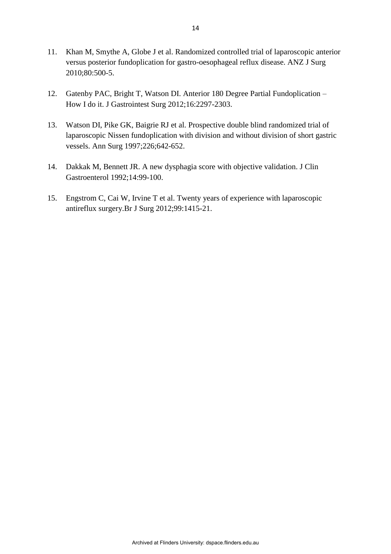- 11. Khan M, Smythe A, Globe J et al. Randomized controlled trial of laparoscopic anterior versus posterior fundoplication for gastro-oesophageal reflux disease. ANZ J Surg 2010;80:500-5.
- 12. Gatenby PAC, Bright T, Watson DI. Anterior 180 Degree Partial Fundoplication How I do it. J Gastrointest Surg 2012;16:2297-2303.
- 13. Watson DI, Pike GK, Baigrie RJ et al. Prospective double blind randomized trial of laparoscopic Nissen fundoplication with division and without division of short gastric vessels. Ann Surg 1997;226;642-652.
- 14. Dakkak M, Bennett JR. A new dysphagia score with objective validation. J Clin Gastroenterol 1992;14:99-100.
- 15. Engstrom C, Cai W, Irvine T et al. Twenty years of experience with laparoscopic antireflux surgery.Br J Surg 2012;99:1415-21.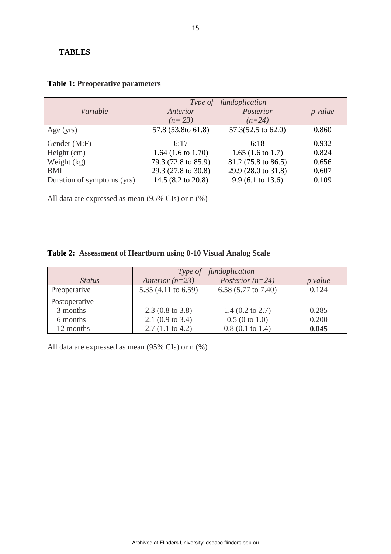### **TABLES**

|                            | Type of fundoplication        |                               |                |  |
|----------------------------|-------------------------------|-------------------------------|----------------|--|
| Variable                   | Anterior                      | Posterior                     | <i>p</i> value |  |
|                            | $(n=23)$                      | $(n=24)$                      |                |  |
| Age $(yrs)$                | 57.8 (53.8to 61.8)            | $57.3(52.5 \text{ to } 62.0)$ | 0.860          |  |
| Gender (M:F)               | 6:17                          | 6:18                          | 0.932          |  |
| Height (cm)                | 1.64 $(1.6 \text{ to } 1.70)$ | 1.65 $(1.6 \text{ to } 1.7)$  | 0.824          |  |
| Weight $(kg)$              | 79.3 (72.8 to 85.9)           | 81.2 (75.8 to 86.5)           | 0.656          |  |
| <b>BMI</b>                 | 29.3 (27.8 to 30.8)           | 29.9 (28.0 to 31.8)           | 0.607          |  |
| Duration of symptoms (yrs) | 14.5 (8.2 to 20.8)            | $9.9(6.1 \text{ to } 13.6)$   | 0.109          |  |

## **Table 1: Preoperative parameters**

All data are expressed as mean (95% CIs) or n (%)

# **Table 2: Assessment of Heartburn using 0-10 Visual Analog Scale**

|               | Type of fundoplication      |                            |                |
|---------------|-----------------------------|----------------------------|----------------|
| <i>Status</i> | Anterior $(n=23)$           | Posterior $(n=24)$         | <i>p</i> value |
| Preoperative  | 5.35 (4.11 to 6.59)         | 6.58 (5.77 to 7.40)        | 0.124          |
| Postoperative |                             |                            |                |
| 3 months      | $2.3(0.8 \text{ to } 3.8)$  | $1.4$ (0.2 to 2.7)         | 0.285          |
| 6 months      | 2.1 $(0.9 \text{ to } 3.4)$ | 0.5(0 to 1.0)              | 0.200          |
| 12 months     | $2.7(1.1 \text{ to } 4.2)$  | $0.8(0.1 \text{ to } 1.4)$ | 0.045          |

All data are expressed as mean (95% CIs) or n (%)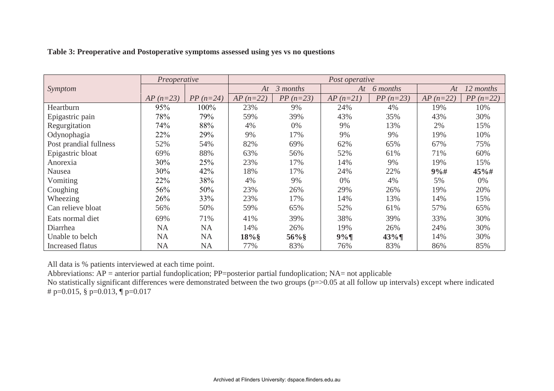|                         | Preoperative |                    | Post operative |            |            |            |             |            |
|-------------------------|--------------|--------------------|----------------|------------|------------|------------|-------------|------------|
| <i>Symptom</i>          |              |                    | At             | 3 months   | At         | 6 months   | At          | 12 months  |
|                         | $AP (n=23)$  | <i>PP</i> $(n=24)$ | $AP (n=22)$    | $PP(n=23)$ | $AP(n=21)$ | $PP(n=23)$ | $AP (n=22)$ | $PP(n=22)$ |
| Heartburn               | 95%          | 100%               | 23%            | 9%         | 24%        | 4%         | 19%         | 10%        |
| Epigastric pain         | 78%          | 79%                | 59%            | 39%        | 43%        | 35%        | 43%         | 30%        |
| Regurgitation           | 74%          | 88%                | 4%             | $0\%$      | 9%         | 13%        | 2%          | 15%        |
| Odynophagia             | 22%          | 29%                | 9%             | 17%        | 9%         | 9%         | 19%         | 10%        |
| Post prandial fullness  | 52%          | 54%                | 82%            | 69%        | 62%        | 65%        | 67%         | 75%        |
| Epigastric bloat        | 69%          | 88%                | 63%            | 56%        | 52%        | 61%        | 71%         | 60%        |
| Anorexia                | 30%          | 25%                | 23%            | 17%        | 14%        | 9%         | 19%         | 15%        |
| Nausea                  | 30%          | 42%                | 18%            | 17%        | 24%        | 22%        | 9%#         | $45%$ #    |
| Vomiting                | 22%          | 38%                | 4%             | 9%         | $0\%$      | 4%         | 5%          | $0\%$      |
| Coughing                | 56%          | 50%                | 23%            | 26%        | 29%        | 26%        | 19%         | 20%        |
| Wheezing                | 26%          | 33%                | 23%            | 17%        | 14%        | 13%        | 14%         | 15%        |
| Can relieve bloat       | 56%          | 50%                | 59%            | 65%        | 52%        | 61%        | 57%         | 65%        |
| Eats normal diet        | 69%          | 71%                | 41%            | 39%        | 38%        | 39%        | 33%         | 30%        |
| Diarrhea                | <b>NA</b>    | <b>NA</b>          | 14%            | 26%        | 19%        | 26%        | 24%         | 30%        |
| Unable to belch         | <b>NA</b>    | <b>NA</b>          | $18\%$         | $56\%$     | 9%         | $43\%$     | 14%         | 30%        |
| <b>Increased flatus</b> | <b>NA</b>    | <b>NA</b>          | 77%            | 83%        | 76%        | 83%        | 86%         | 85%        |

## **Table 3: Preoperative and Postoperative symptoms assessed using yes vs no questions**

All data is % patients interviewed at each time point.

Abbreviations:  $AP =$  anterior partial fundoplication; PP=posterior partial fundoplication; NA= not applicable

No statistically significant differences were demonstrated between the two groups (p=>0.05 at all follow up intervals) except where indicated # p=0.015,  $\S$  p=0.013,  $\P$  p=0.017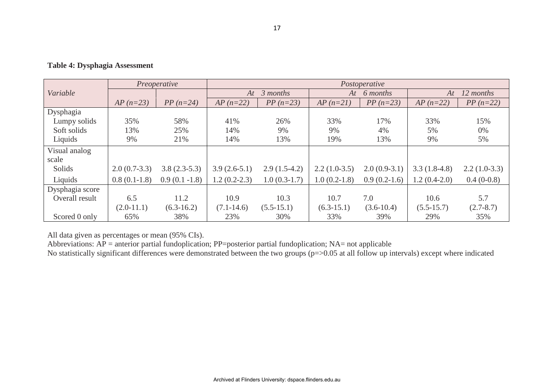|                 | Preoperative   |                  | Postoperative  |                |                |                |                 |                |  |  |
|-----------------|----------------|------------------|----------------|----------------|----------------|----------------|-----------------|----------------|--|--|
| Variable        |                |                  |                | 3 months<br>At |                | At 6 months    | 12 months<br>At |                |  |  |
|                 | $AP (n=23)$    | $PP(n=24)$       | $AP (n=22)$    | $PP(n=23)$     | $AP(n=21)$     | $PP(n=23)$     | $AP (n=22)$     | $PP(n=22)$     |  |  |
| Dysphagia       |                |                  |                |                |                |                |                 |                |  |  |
| Lumpy solids    | 35%            | 58%              | 41%            | 26%            | 33%            | 17%            | 33%             | 15%            |  |  |
| Soft solids     | 13%            | 25%              | 14%            | 9%             | 9%             | 4%             | 5%              | $0\%$          |  |  |
| Liquids         | 9%             | 21%              | 14%            | 13%            | 19%            | 13%            | 9%              | 5%             |  |  |
| Visual analog   |                |                  |                |                |                |                |                 |                |  |  |
| scale           |                |                  |                |                |                |                |                 |                |  |  |
| Solids          | $2.0(0.7-3.3)$ | $3.8(2.3-5.3)$   | $3.9(2.6-5.1)$ | $2.9(1.5-4.2)$ | $2.2(1.0-3.5)$ | $2.0(0.9-3.1)$ | $3.3(1.8-4.8)$  | $2.2(1.0-3.3)$ |  |  |
| Liquids         | $0.8(0.1-1.8)$ | $0.9(0.1 - 1.8)$ | $1.2(0.2-2.3)$ | $1.0(0.3-1.7)$ | $1.0(0.2-1.8)$ | $0.9(0.2-1.6)$ | $1.2(0.4-2.0)$  | $0.4(0-0.8)$   |  |  |
| Dysphagia score |                |                  |                |                |                |                |                 |                |  |  |
| Overall result  | 6.5            | 11.2             | 10.9           | 10.3           | 10.7           | 7.0            | 10.6            | 5.7            |  |  |
|                 | $(2.0-11.1)$   | $(6.3-16.2)$     | $(7.1 - 14.6)$ | $(5.5-15.1)$   | $(6.3-15.1)$   | $(3.6-10.4)$   | $(5.5 - 15.7)$  | $(2.7 - 8.7)$  |  |  |
| Scored 0 only   | 65%            | 38%              | 23%            | 30%            | 33%            | 39%            | 29%             | 35%            |  |  |

**Table 4: Dysphagia Assessment** 

All data given as percentages or mean (95% CIs).

Abbreviations:  $AP =$  anterior partial fundoplication; PP=posterior partial fundoplication; NA= not applicable

No statistically significant differences were demonstrated between the two groups (p=>0.05 at all follow up intervals) except where indicated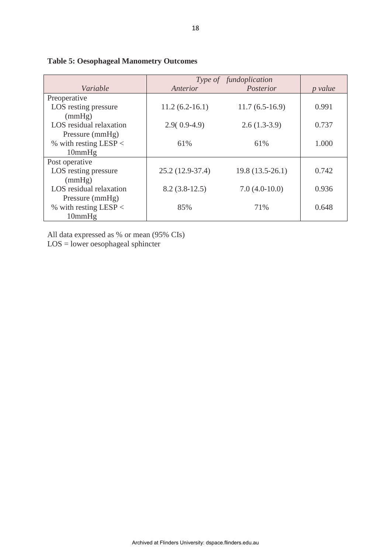|                         | Type of fundoplication |                   |                |
|-------------------------|------------------------|-------------------|----------------|
| Variable                | Anterior               | Posterior         | <i>p</i> value |
| Preoperative            |                        |                   |                |
| LOS resting pressure    | $11.2(6.2-16.1)$       | $11.7(6.5-16.9)$  | 0.991          |
| (mmHg)                  |                        |                   |                |
| LOS residual relaxation | $2.9(0.9-4.9)$         | $2.6(1.3-3.9)$    | 0.737          |
| Pressure (mmHg)         |                        |                   |                |
| % with resting LESP $<$ | 61%                    | 61%               | 1.000          |
| 10mmHg                  |                        |                   |                |
| Post operative          |                        |                   |                |
| LOS resting pressure    | 25.2 (12.9-37.4)       | $19.8(13.5-26.1)$ | 0.742          |
| (mmHg)                  |                        |                   |                |
| LOS residual relaxation | $8.2(3.8-12.5)$        | $7.0(4.0-10.0)$   | 0.936          |
| Pressure (mmHg)         |                        |                   |                |
| % with resting LESP $<$ | 85%                    | 71%               | 0.648          |
| 10mmHg                  |                        |                   |                |

## **Table 5: Oesophageal Manometry Outcomes**

All data expressed as % or mean (95% CIs)

LOS = lower oesophageal sphincter